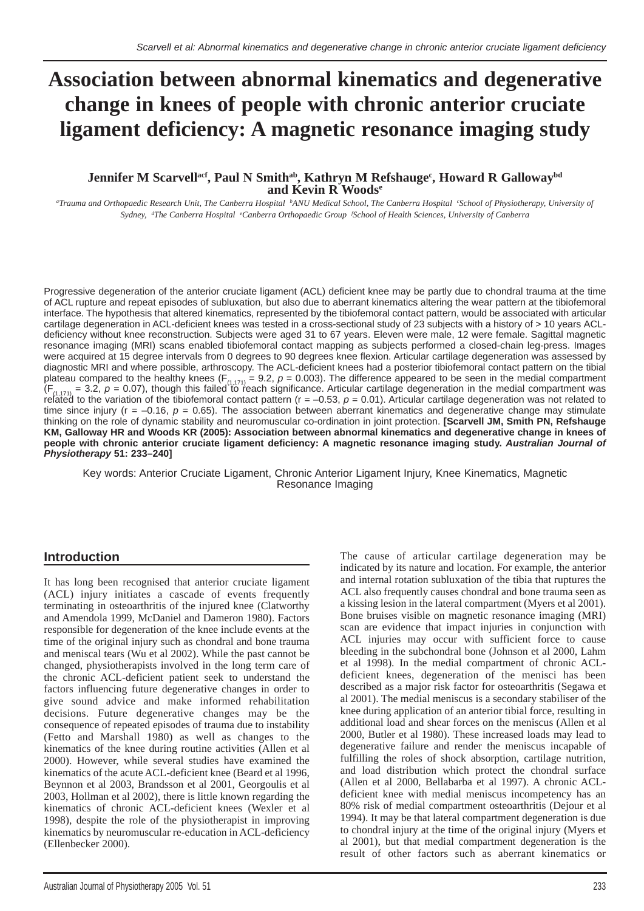# **Association between abnormal kinematics and degenerative change in knees of people with chronic anterior cruciate ligament deficiency: A magnetic resonance imaging study**

#### Jennifer M Scarvell<sup>acf</sup>, Paul N Smith<sup>ab</sup>, Kathryn M Refshauge<sup>c</sup>, Howard R Galloway<sup>bd</sup> **and Kevin R Woodse**

*a Trauma and Orthopaedic Research Unit, The Canberra Hospital b ANU Medical School, The Canberra Hospital c School of Physiotherapy, University of Sydney, d The Canberra Hospital e Canberra Orthopaedic Group f School of Health Sciences, University of Canberra*

Progressive degeneration of the anterior cruciate ligament (ACL) deficient knee may be partly due to chondral trauma at the time of ACL rupture and repeat episodes of subluxation, but also due to aberrant kinematics altering the wear pattern at the tibiofemoral interface. The hypothesis that altered kinematics, represented by the tibiofemoral contact pattern, would be associated with articular cartilage degeneration in ACL-deficient knees was tested in a cross-sectional study of 23 subjects with a history of > 10 years ACLdeficiency without knee reconstruction. Subjects were aged 31 to 67 years. Eleven were male, 12 were female. Sagittal magnetic resonance imaging (MRI) scans enabled tibiofemoral contact mapping as subjects performed a closed-chain leg-press. Images were acquired at 15 degree intervals from 0 degrees to 90 degrees knee flexion. Articular cartilage degeneration was assessed by diagnostic MRI and where possible, arthroscopy. The ACL-deficient knees had a posterior tibiofemoral contact pattern on the tibial plateau compared to the healthy knees  $(F_{(1,171)} = 9.2, p = 0.003)$ . The difference appeared to be seen in the medial compartment ( $F_{(1,171)}$  = 3.2, p = 0.07), though this failed to reach significance. Articular cartilage degeneration in the medial compartment was<br>related to the variation of the tibiofemoral contact pattern (r = –0.53, p = 0.01). A time since injury ( $r = -0.16$ ,  $p = 0.65$ ). The association between aberrant kinematics and degenerative change may stimulate thinking on the role of dynamic stability and neuromuscular co-ordination in joint protection. **[Scarvell JM, Smith PN, Refshauge KM, Galloway HR and Woods KR (2005): Association between abnormal kinematics and degenerative change in knees of people with chronic anterior cruciate ligament deficiency: A magnetic resonance imaging study. Australian Journal of Physiotherapy 51: 233–240]**

Key words: Anterior Cruciate Ligament, Chronic Anterior Ligament Injury, Knee Kinematics, Magnetic Resonance Imaging

# **Introduction**

It has long been recognised that anterior cruciate ligament (ACL) injury initiates a cascade of events frequently terminating in osteoarthritis of the injured knee (Clatworthy and Amendola 1999, McDaniel and Dameron 1980). Factors responsible for degeneration of the knee include events at the time of the original injury such as chondral and bone trauma and meniscal tears (Wu et al 2002). While the past cannot be changed, physiotherapists involved in the long term care of the chronic ACL-deficient patient seek to understand the factors influencing future degenerative changes in order to give sound advice and make informed rehabilitation decisions. Future degenerative changes may be the consequence of repeated episodes of trauma due to instability (Fetto and Marshall 1980) as well as changes to the kinematics of the knee during routine activities (Allen et al 2000). However, while several studies have examined the kinematics of the acute ACL-deficient knee (Beard et al 1996, Beynnon et al 2003, Brandsson et al 2001, Georgoulis et al 2003, Hollman et al 2002), there is little known regarding the kinematics of chronic ACL-deficient knees (Wexler et al 1998), despite the role of the physiotherapist in improving kinematics by neuromuscular re-education in ACL-deficiency (Ellenbecker 2000).

The cause of articular cartilage degeneration may be indicated by its nature and location. For example, the anterior and internal rotation subluxation of the tibia that ruptures the ACL also frequently causes chondral and bone trauma seen as a kissing lesion in the lateral compartment (Myers et al 2001). Bone bruises visible on magnetic resonance imaging (MRI) scan are evidence that impact injuries in conjunction with ACL injuries may occur with sufficient force to cause bleeding in the subchondral bone (Johnson et al 2000, Lahm et al 1998). In the medial compartment of chronic ACLdeficient knees, degeneration of the menisci has been described as a major risk factor for osteoarthritis (Segawa et al 2001). The medial meniscus is a secondary stabiliser of the knee during application of an anterior tibial force, resulting in additional load and shear forces on the meniscus (Allen et al 2000, Butler et al 1980). These increased loads may lead to degenerative failure and render the meniscus incapable of fulfilling the roles of shock absorption, cartilage nutrition, and load distribution which protect the chondral surface (Allen et al 2000, Bellabarba et al 1997). A chronic ACLdeficient knee with medial meniscus incompetency has an 80% risk of medial compartment osteoarthritis (Dejour et al 1994). It may be that lateral compartment degeneration is due to chondral injury at the time of the original injury (Myers et al 2001), but that medial compartment degeneration is the result of other factors such as aberrant kinematics or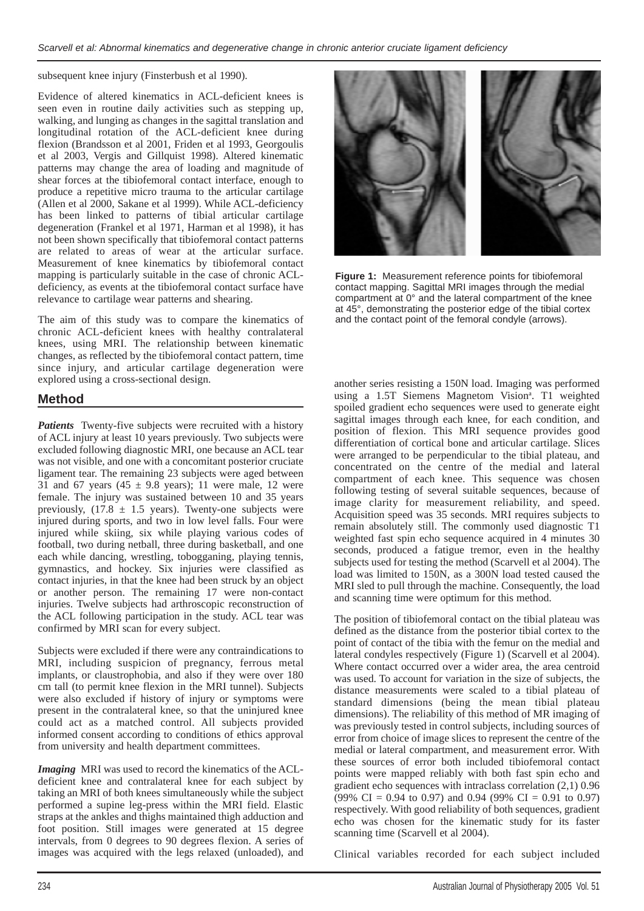subsequent knee injury (Finsterbush et al 1990).

Evidence of altered kinematics in ACL-deficient knees is seen even in routine daily activities such as stepping up, walking, and lunging as changes in the sagittal translation and longitudinal rotation of the ACL-deficient knee during flexion (Brandsson et al 2001, Friden et al 1993, Georgoulis et al 2003, Vergis and Gillquist 1998). Altered kinematic patterns may change the area of loading and magnitude of shear forces at the tibiofemoral contact interface, enough to produce a repetitive micro trauma to the articular cartilage (Allen et al 2000, Sakane et al 1999). While ACL-deficiency has been linked to patterns of tibial articular cartilage degeneration (Frankel et al 1971, Harman et al 1998), it has not been shown specifically that tibiofemoral contact patterns are related to areas of wear at the articular surface. Measurement of knee kinematics by tibiofemoral contact mapping is particularly suitable in the case of chronic ACLdeficiency, as events at the tibiofemoral contact surface have relevance to cartilage wear patterns and shearing.

The aim of this study was to compare the kinematics of chronic ACL-deficient knees with healthy contralateral knees, using MRI. The relationship between kinematic changes, as reflected by the tibiofemoral contact pattern, time since injury, and articular cartilage degeneration were explored using a cross-sectional design.

# **Method**

*Patients* Twenty-five subjects were recruited with a history of ACL injury at least 10 years previously. Two subjects were excluded following diagnostic MRI, one because an ACL tear was not visible, and one with a concomitant posterior cruciate ligament tear. The remaining 23 subjects were aged between 31 and 67 years  $(45 \pm 9.8 \text{ years})$ ; 11 were male, 12 were female. The injury was sustained between 10 and 35 years previously,  $(17.8 \pm 1.5 \text{ years})$ . Twenty-one subjects were injured during sports, and two in low level falls. Four were injured while skiing, six while playing various codes of football, two during netball, three during basketball, and one each while dancing, wrestling, tobogganing, playing tennis, gymnastics, and hockey. Six injuries were classified as contact injuries, in that the knee had been struck by an object or another person. The remaining 17 were non-contact injuries. Twelve subjects had arthroscopic reconstruction of the ACL following participation in the study. ACL tear was confirmed by MRI scan for every subject.

Subjects were excluded if there were any contraindications to MRI, including suspicion of pregnancy, ferrous metal implants, or claustrophobia, and also if they were over 180 cm tall (to permit knee flexion in the MRI tunnel). Subjects were also excluded if history of injury or symptoms were present in the contralateral knee, so that the uninjured knee could act as a matched control. All subjects provided informed consent according to conditions of ethics approval from university and health department committees.

*Imaging* MRI was used to record the kinematics of the ACLdeficient knee and contralateral knee for each subject by taking an MRI of both knees simultaneously while the subject performed a supine leg-press within the MRI field. Elastic straps at the ankles and thighs maintained thigh adduction and foot position. Still images were generated at 15 degree intervals, from 0 degrees to 90 degrees flexion. A series of images was acquired with the legs relaxed (unloaded), and



**Figure 1:** Measurement reference points for tibiofemoral contact mapping. Sagittal MRI images through the medial compartment at 0° and the lateral compartment of the knee at 45°, demonstrating the posterior edge of the tibial cortex and the contact point of the femoral condyle (arrows).

another series resisting a 150N load. Imaging was performed using a 1.5T Siemens Magnetom Vision<sup>a</sup>. T1 weighted spoiled gradient echo sequences were used to generate eight sagittal images through each knee, for each condition, and position of flexion. This MRI sequence provides good differentiation of cortical bone and articular cartilage. Slices were arranged to be perpendicular to the tibial plateau, and concentrated on the centre of the medial and lateral compartment of each knee. This sequence was chosen following testing of several suitable sequences, because of image clarity for measurement reliability, and speed. Acquisition speed was 35 seconds. MRI requires subjects to remain absolutely still. The commonly used diagnostic T1 weighted fast spin echo sequence acquired in 4 minutes 30 seconds, produced a fatigue tremor, even in the healthy subjects used for testing the method (Scarvell et al 2004). The load was limited to 150N, as a 300N load tested caused the MRI sled to pull through the machine. Consequently, the load and scanning time were optimum for this method.

The position of tibiofemoral contact on the tibial plateau was defined as the distance from the posterior tibial cortex to the point of contact of the tibia with the femur on the medial and lateral condyles respectively (Figure 1) (Scarvell et al 2004). Where contact occurred over a wider area, the area centroid was used. To account for variation in the size of subjects, the distance measurements were scaled to a tibial plateau of standard dimensions (being the mean tibial plateau dimensions). The reliability of this method of MR imaging of was previously tested in control subjects, including sources of error from choice of image slices to represent the centre of the medial or lateral compartment, and measurement error. With these sources of error both included tibiofemoral contact points were mapped reliably with both fast spin echo and gradient echo sequences with intraclass correlation (2,1) 0.96 (99% CI = 0.94 to 0.97) and 0.94 (99% CI = 0.91 to 0.97) respectively. With good reliability of both sequences, gradient echo was chosen for the kinematic study for its faster scanning time (Scarvell et al 2004).

Clinical variables recorded for each subject included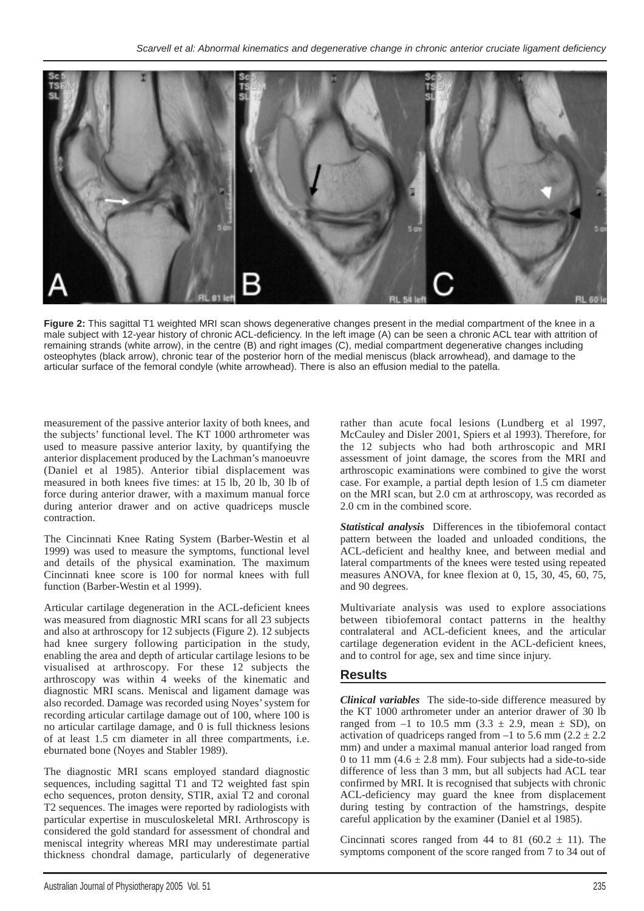

**Figure 2:** This sagittal T1 weighted MRI scan shows degenerative changes present in the medial compartment of the knee in a male subject with 12-year history of chronic ACL-deficiency. In the left image (A) can be seen a chronic ACL tear with attrition of remaining strands (white arrow), in the centre (B) and right images (C), medial compartment degenerative changes including osteophytes (black arrow), chronic tear of the posterior horn of the medial meniscus (black arrowhead), and damage to the articular surface of the femoral condyle (white arrowhead). There is also an effusion medial to the patella.

measurement of the passive anterior laxity of both knees, and the subjects' functional level. The KT 1000 arthrometer was used to measure passive anterior laxity, by quantifying the anterior displacement produced by the Lachman's manoeuvre (Daniel et al 1985). Anterior tibial displacement was measured in both knees five times: at 15 lb, 20 lb, 30 lb of force during anterior drawer, with a maximum manual force during anterior drawer and on active quadriceps muscle contraction.

The Cincinnati Knee Rating System (Barber-Westin et al 1999) was used to measure the symptoms, functional level and details of the physical examination. The maximum Cincinnati knee score is 100 for normal knees with full function (Barber-Westin et al 1999).

Articular cartilage degeneration in the ACL-deficient knees was measured from diagnostic MRI scans for all 23 subjects and also at arthroscopy for 12 subjects (Figure 2). 12 subjects had knee surgery following participation in the study, enabling the area and depth of articular cartilage lesions to be visualised at arthroscopy. For these 12 subjects the arthroscopy was within 4 weeks of the kinematic and diagnostic MRI scans. Meniscal and ligament damage was also recorded. Damage was recorded using Noyes' system for recording articular cartilage damage out of 100, where 100 is no articular cartilage damage, and 0 is full thickness lesions of at least 1.5 cm diameter in all three compartments, i.e. eburnated bone (Noyes and Stabler 1989).

The diagnostic MRI scans employed standard diagnostic sequences, including sagittal T1 and T2 weighted fast spin echo sequences, proton density, STIR, axial T2 and coronal T2 sequences. The images were reported by radiologists with particular expertise in musculoskeletal MRI. Arthroscopy is considered the gold standard for assessment of chondral and meniscal integrity whereas MRI may underestimate partial thickness chondral damage, particularly of degenerative rather than acute focal lesions (Lundberg et al 1997, McCauley and Disler 2001, Spiers et al 1993). Therefore, for the 12 subjects who had both arthroscopic and MRI assessment of joint damage, the scores from the MRI and arthroscopic examinations were combined to give the worst case. For example, a partial depth lesion of 1.5 cm diameter on the MRI scan, but 2.0 cm at arthroscopy, was recorded as 2.0 cm in the combined score.

*Statistical analysis* Differences in the tibiofemoral contact pattern between the loaded and unloaded conditions, the ACL-deficient and healthy knee, and between medial and lateral compartments of the knees were tested using repeated measures ANOVA, for knee flexion at 0, 15, 30, 45, 60, 75, and 90 degrees.

Multivariate analysis was used to explore associations between tibiofemoral contact patterns in the healthy contralateral and ACL-deficient knees, and the articular cartilage degeneration evident in the ACL-deficient knees, and to control for age, sex and time since injury.

# **Results**

*Clinical variables* The side-to-side difference measured by the KT 1000 arthrometer under an anterior drawer of 30 lb ranged from  $-1$  to 10.5 mm (3.3  $\pm$  2.9, mean  $\pm$  SD), on activation of quadriceps ranged from  $-1$  to 5.6 mm (2.2  $\pm$  2.2) mm) and under a maximal manual anterior load ranged from 0 to 11 mm  $(4.6 \pm 2.8 \text{ mm})$ . Four subjects had a side-to-side difference of less than 3 mm, but all subjects had ACL tear confirmed by MRI. It is recognised that subjects with chronic ACL-deficiency may guard the knee from displacement during testing by contraction of the hamstrings, despite careful application by the examiner (Daniel et al 1985).

Cincinnati scores ranged from 44 to 81 (60.2  $\pm$  11). The symptoms component of the score ranged from 7 to 34 out of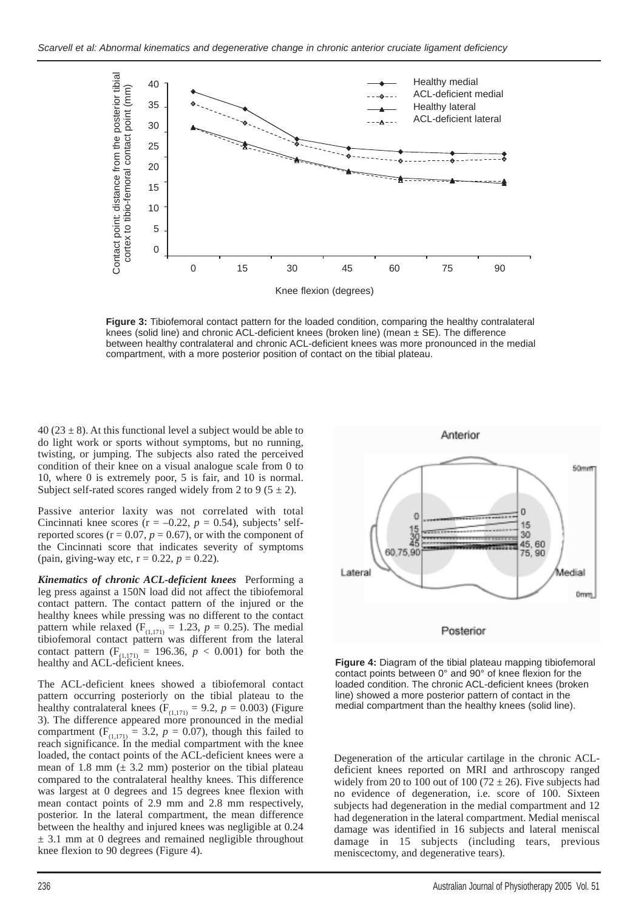

**Figure 3:** Tibiofemoral contact pattern for the loaded condition, comparing the healthy contralateral knees (solid line) and chronic ACL-deficient knees (broken line) (mean  $\pm$  SE). The difference between healthy contralateral and chronic ACL-deficient knees was more pronounced in the medial compartment, with a more posterior position of contact on the tibial plateau.

 $40 (23 \pm 8)$ . At this functional level a subject would be able to do light work or sports without symptoms, but no running, twisting, or jumping. The subjects also rated the perceived condition of their knee on a visual analogue scale from 0 to 10, where 0 is extremely poor, 5 is fair, and 10 is normal. Subject self-rated scores ranged widely from 2 to 9 ( $5 \pm 2$ ).

Passive anterior laxity was not correlated with total Cincinnati knee scores ( $r = -0.22$ ,  $p = 0.54$ ), subjects' selfreported scores ( $r = 0.07$ ,  $p = 0.67$ ), or with the component of the Cincinnati score that indicates severity of symptoms (pain, giving-way etc,  $r = 0.22$ ,  $p = 0.22$ ).

*Kinematics of chronic ACL-deficient knees* Performing a leg press against a 150N load did not affect the tibiofemoral contact pattern. The contact pattern of the injured or the healthy knees while pressing was no different to the contact pattern while relaxed  $(F_{(1,171)} = 1.23, p = 0.25)$ . The medial tibiofemoral contact pattern was different from the lateral contact pattern  $(F_{(1,171)} = 196.36, p < 0.001)$  for both the healthy and ACL-deficient knees.

The ACL-deficient knees showed a tibiofemoral contact pattern occurring posteriorly on the tibial plateau to the healthy contralateral knees  $(F_{(1,171)} = 9.2, p = 0.003)$  (Figure 3). The difference appeared more pronounced in the medial compartment ( $F_{(1,171)} = 3.2$ ,  $p = 0.07$ ), though this failed to reach significance. In the medial compartment with the knee loaded, the contact points of the ACL-deficient knees were a mean of 1.8 mm  $(\pm 3.2 \text{ mm})$  posterior on the tibial plateau compared to the contralateral healthy knees. This difference was largest at 0 degrees and 15 degrees knee flexion with mean contact points of 2.9 mm and 2.8 mm respectively, posterior. In the lateral compartment, the mean difference between the healthy and injured knees was negligible at 0.24  $\pm$  3.1 mm at 0 degrees and remained negligible throughout knee flexion to 90 degrees (Figure 4).



**Figure 4:** Diagram of the tibial plateau mapping tibiofemoral contact points between 0° and 90° of knee flexion for the loaded condition. The chronic ACL-deficient knees (broken line) showed a more posterior pattern of contact in the medial compartment than the healthy knees (solid line).

Degeneration of the articular cartilage in the chronic ACLdeficient knees reported on MRI and arthroscopy ranged widely from 20 to 100 out of 100 (72  $\pm$  26). Five subjects had no evidence of degeneration, i.e. score of 100. Sixteen subjects had degeneration in the medial compartment and 12 had degeneration in the lateral compartment. Medial meniscal damage was identified in 16 subjects and lateral meniscal damage in 15 subjects (including tears, previous meniscectomy, and degenerative tears).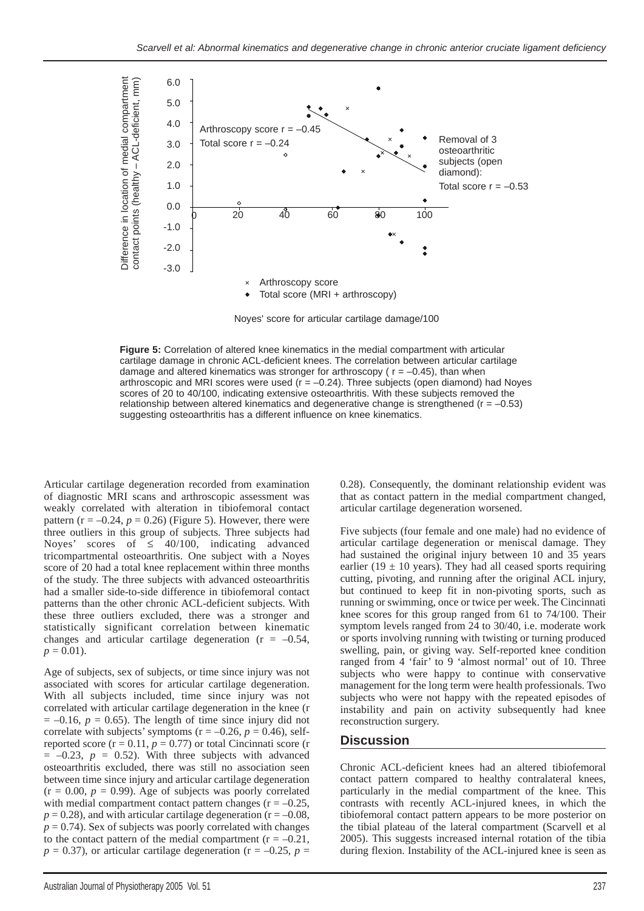

Noyes' score for articular cartilage damage/100

**Figure 5:** Correlation of altered knee kinematics in the medial compartment with articular cartilage damage in chronic ACL-deficient knees. The correlation between articular cartilage damage and altered kinematics was stronger for arthroscopy ( $r = -0.45$ ), than when arthroscopic and MRI scores were used  $(r = -0.24)$ . Three subjects (open diamond) had Noyes scores of 20 to 40/100, indicating extensive osteoarthritis. With these subjects removed the relationship between altered kinematics and degenerative change is strengthened ( $r = -0.53$ ) suggesting osteoarthritis has a different influence on knee kinematics.

Articular cartilage degeneration recorded from examination of diagnostic MRI scans and arthroscopic assessment was weakly correlated with alteration in tibiofemoral contact pattern ( $r = -0.24$ ,  $p = 0.26$ ) (Figure 5). However, there were three outliers in this group of subjects. Three subjects had Noyes' scores of  $\leq$  40/100, indicating advanced tricompartmental osteoarthritis. One subject with a Noyes score of 20 had a total knee replacement within three months of the study. The three subjects with advanced osteoarthritis had a smaller side-to-side difference in tibiofemoral contact patterns than the other chronic ACL-deficient subjects. With these three outliers excluded, there was a stronger and statistically significant correlation between kinematic changes and articular cartilage degeneration ( $r = -0.54$ ,  $p = 0.01$ .

Age of subjects, sex of subjects, or time since injury was not associated with scores for articular cartilage degeneration. With all subjects included, time since injury was not correlated with articular cartilage degeneration in the knee (r  $= -0.16$ ,  $p = 0.65$ ). The length of time since injury did not correlate with subjects' symptoms ( $r = -0.26$ ,  $p = 0.46$ ), selfreported score ( $r = 0.11$ ,  $p = 0.77$ ) or total Cincinnati score (r  $= -0.23$ ,  $p = 0.52$ ). With three subjects with advanced osteoarthritis excluded, there was still no association seen between time since injury and articular cartilage degeneration  $(r = 0.00, p = 0.99)$ . Age of subjects was poorly correlated with medial compartment contact pattern changes ( $r = -0.25$ ,  $p = 0.28$ ), and with articular cartilage degeneration ( $r = -0.08$ ,  $p = 0.74$ ). Sex of subjects was poorly correlated with changes to the contact pattern of the medial compartment  $(r = -0.21)$ ,  $p = 0.37$ ), or articular cartilage degeneration ( $r = -0.25$ ,  $p =$ 

0.28). Consequently, the dominant relationship evident was that as contact pattern in the medial compartment changed, articular cartilage degeneration worsened.

Five subjects (four female and one male) had no evidence of articular cartilage degeneration or meniscal damage. They had sustained the original injury between 10 and 35 years earlier (19  $\pm$  10 years). They had all ceased sports requiring cutting, pivoting, and running after the original ACL injury, but continued to keep fit in non-pivoting sports, such as running or swimming, once or twice per week. The Cincinnati knee scores for this group ranged from 61 to 74/100. Their symptom levels ranged from 24 to 30/40, i.e. moderate work or sports involving running with twisting or turning produced swelling, pain, or giving way. Self-reported knee condition ranged from 4 'fair' to 9 'almost normal' out of 10. Three subjects who were happy to continue with conservative management for the long term were health professionals. Two subjects who were not happy with the repeated episodes of instability and pain on activity subsequently had knee reconstruction surgery.

#### **Discussion**

Chronic ACL-deficient knees had an altered tibiofemoral contact pattern compared to healthy contralateral knees, particularly in the medial compartment of the knee. This contrasts with recently ACL-injured knees, in which the tibiofemoral contact pattern appears to be more posterior on the tibial plateau of the lateral compartment (Scarvell et al 2005). This suggests increased internal rotation of the tibia during flexion. Instability of the ACL-injured knee is seen as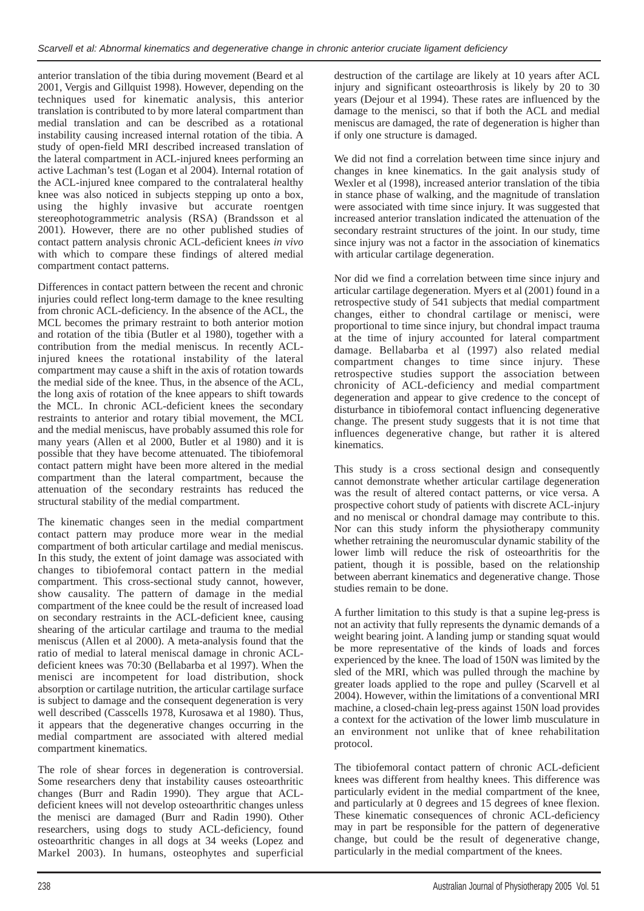anterior translation of the tibia during movement (Beard et al 2001, Vergis and Gillquist 1998). However, depending on the techniques used for kinematic analysis, this anterior translation is contributed to by more lateral compartment than medial translation and can be described as a rotational instability causing increased internal rotation of the tibia. A study of open-field MRI described increased translation of the lateral compartment in ACL-injured knees performing an active Lachman's test (Logan et al 2004). Internal rotation of the ACL-injured knee compared to the contralateral healthy knee was also noticed in subjects stepping up onto a box, using the highly invasive but accurate roentgen stereophotogrammetric analysis (RSA) (Brandsson et al 2001). However, there are no other published studies of contact pattern analysis chronic ACL-deficient knees *in vivo* with which to compare these findings of altered medial compartment contact patterns.

Differences in contact pattern between the recent and chronic injuries could reflect long-term damage to the knee resulting from chronic ACL-deficiency. In the absence of the ACL, the MCL becomes the primary restraint to both anterior motion and rotation of the tibia (Butler et al 1980), together with a contribution from the medial meniscus. In recently ACLinjured knees the rotational instability of the lateral compartment may cause a shift in the axis of rotation towards the medial side of the knee. Thus, in the absence of the ACL, the long axis of rotation of the knee appears to shift towards the MCL. In chronic ACL-deficient knees the secondary restraints to anterior and rotary tibial movement, the MCL and the medial meniscus, have probably assumed this role for many years (Allen et al 2000, Butler et al 1980) and it is possible that they have become attenuated. The tibiofemoral contact pattern might have been more altered in the medial compartment than the lateral compartment, because the attenuation of the secondary restraints has reduced the structural stability of the medial compartment.

The kinematic changes seen in the medial compartment contact pattern may produce more wear in the medial compartment of both articular cartilage and medial meniscus. In this study, the extent of joint damage was associated with changes to tibiofemoral contact pattern in the medial compartment. This cross-sectional study cannot, however, show causality. The pattern of damage in the medial compartment of the knee could be the result of increased load on secondary restraints in the ACL-deficient knee, causing shearing of the articular cartilage and trauma to the medial meniscus (Allen et al 2000). A meta-analysis found that the ratio of medial to lateral meniscal damage in chronic ACLdeficient knees was 70:30 (Bellabarba et al 1997). When the menisci are incompetent for load distribution, shock absorption or cartilage nutrition, the articular cartilage surface is subject to damage and the consequent degeneration is very well described (Casscells 1978, Kurosawa et al 1980). Thus, it appears that the degenerative changes occurring in the medial compartment are associated with altered medial compartment kinematics.

The role of shear forces in degeneration is controversial. Some researchers deny that instability causes osteoarthritic changes (Burr and Radin 1990). They argue that ACLdeficient knees will not develop osteoarthritic changes unless the menisci are damaged (Burr and Radin 1990). Other researchers, using dogs to study ACL-deficiency, found osteoarthritic changes in all dogs at 34 weeks (Lopez and Markel 2003). In humans, osteophytes and superficial destruction of the cartilage are likely at 10 years after ACL injury and significant osteoarthrosis is likely by 20 to 30 years (Dejour et al 1994). These rates are influenced by the damage to the menisci, so that if both the ACL and medial meniscus are damaged, the rate of degeneration is higher than if only one structure is damaged.

We did not find a correlation between time since injury and changes in knee kinematics. In the gait analysis study of Wexler et al (1998), increased anterior translation of the tibia in stance phase of walking, and the magnitude of translation were associated with time since injury. It was suggested that increased anterior translation indicated the attenuation of the secondary restraint structures of the joint. In our study, time since injury was not a factor in the association of kinematics with articular cartilage degeneration.

Nor did we find a correlation between time since injury and articular cartilage degeneration. Myers et al (2001) found in a retrospective study of 541 subjects that medial compartment changes, either to chondral cartilage or menisci, were proportional to time since injury, but chondral impact trauma at the time of injury accounted for lateral compartment damage. Bellabarba et al (1997) also related medial compartment changes to time since injury. These retrospective studies support the association between chronicity of ACL-deficiency and medial compartment degeneration and appear to give credence to the concept of disturbance in tibiofemoral contact influencing degenerative change. The present study suggests that it is not time that influences degenerative change, but rather it is altered kinematics.

This study is a cross sectional design and consequently cannot demonstrate whether articular cartilage degeneration was the result of altered contact patterns, or vice versa. A prospective cohort study of patients with discrete ACL-injury and no meniscal or chondral damage may contribute to this. Nor can this study inform the physiotherapy community whether retraining the neuromuscular dynamic stability of the lower limb will reduce the risk of osteoarthritis for the patient, though it is possible, based on the relationship between aberrant kinematics and degenerative change. Those studies remain to be done.

A further limitation to this study is that a supine leg-press is not an activity that fully represents the dynamic demands of a weight bearing joint. A landing jump or standing squat would be more representative of the kinds of loads and forces experienced by the knee. The load of 150N was limited by the sled of the MRI, which was pulled through the machine by greater loads applied to the rope and pulley (Scarvell et al 2004). However, within the limitations of a conventional MRI machine, a closed-chain leg-press against 150N load provides a context for the activation of the lower limb musculature in an environment not unlike that of knee rehabilitation protocol.

The tibiofemoral contact pattern of chronic ACL-deficient knees was different from healthy knees. This difference was particularly evident in the medial compartment of the knee, and particularly at 0 degrees and 15 degrees of knee flexion. These kinematic consequences of chronic ACL-deficiency may in part be responsible for the pattern of degenerative change, but could be the result of degenerative change, particularly in the medial compartment of the knees.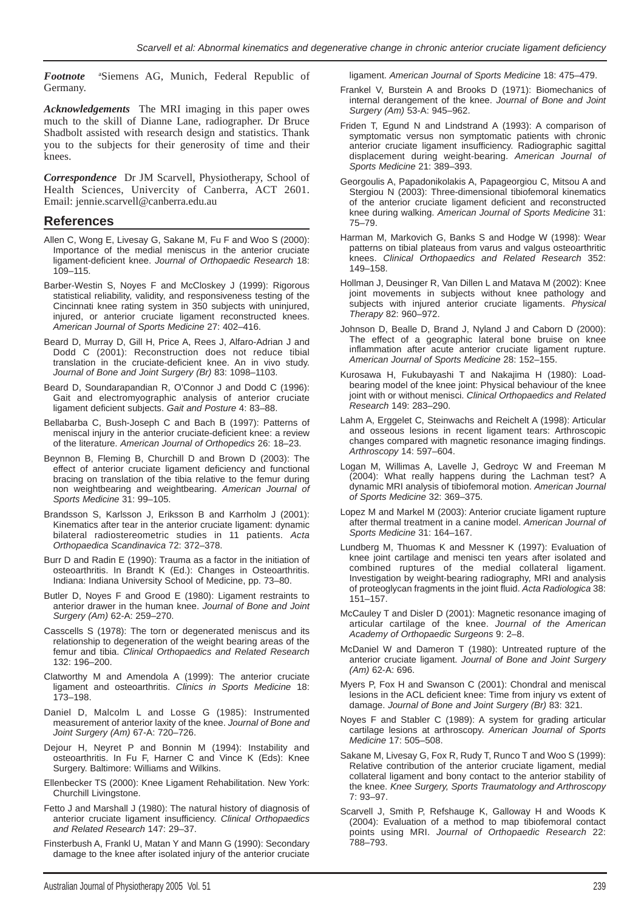$$ Siemens AG, Munich, Federal Republic of Germany.

*Acknowledgements* The MRI imaging in this paper owes much to the skill of Dianne Lane, radiographer. Dr Bruce Shadbolt assisted with research design and statistics. Thank you to the subjects for their generosity of time and their knees.

*Correspondence* Dr JM Scarvell, Physiotherapy, School of Health Sciences, Univercity of Canberra, ACT 2601. Email: jennie.scarvell@canberra.edu.au

#### **References**

- Allen C, Wong E, Livesay G, Sakane M, Fu F and Woo S (2000): Importance of the medial meniscus in the anterior cruciate ligament-deficient knee. Journal of Orthopaedic Research 18: 109–115.
- Barber-Westin S, Noyes F and McCloskey J (1999): Rigorous statistical reliability, validity, and responsiveness testing of the Cincinnati knee rating system in 350 subjects with uninjured, injured, or anterior cruciate ligament reconstructed knees. American Journal of Sports Medicine 27: 402–416.
- Beard D, Murray D, Gill H, Price A, Rees J, Alfaro-Adrian J and Dodd C (2001): Reconstruction does not reduce tibial translation in the cruciate-deficient knee. An in vivo study. Journal of Bone and Joint Surgery (Br) 83: 1098–1103.
- Beard D, Soundarapandian R, O'Connor J and Dodd C (1996): Gait and electromyographic analysis of anterior cruciate ligament deficient subjects. Gait and Posture 4: 83–88.
- Bellabarba C, Bush-Joseph C and Bach B (1997): Patterns of meniscal injury in the anterior cruciate-deficient knee: a review of the literature. American Journal of Orthopedics 26: 18–23.
- Beynnon B, Fleming B, Churchill D and Brown D (2003): The effect of anterior cruciate ligament deficiency and functional bracing on translation of the tibia relative to the femur during non weightbearing and weightbearing. American Journal of Sports Medicine 31: 99–105.
- Brandsson S, Karlsson J, Eriksson B and Karrholm J (2001): Kinematics after tear in the anterior cruciate ligament: dynamic bilateral radiostereometric studies in 11 patients. Acta Orthopaedica Scandinavica 72: 372–378.
- Burr D and Radin E (1990): Trauma as a factor in the initiation of osteoarthritis. In Brandt K (Ed.): Changes in Osteoarthritis. Indiana: Indiana University School of Medicine, pp. 73–80.
- Butler D, Noyes F and Grood E (1980): Ligament restraints to anterior drawer in the human knee. Journal of Bone and Joint Surgery (Am) 62-A: 259–270.
- Casscells S (1978): The torn or degenerated meniscus and its relationship to degeneration of the weight bearing areas of the femur and tibia. Clinical Orthopaedics and Related Research 132: 196–200.
- Clatworthy M and Amendola A (1999): The anterior cruciate ligament and osteoarthritis. Clinics in Sports Medicine 18: 173–198.
- Daniel D, Malcolm L and Losse G (1985): Instrumented measurement of anterior laxity of the knee. Journal of Bone and Joint Surgery (Am) 67-A: 720–726.
- Dejour H, Neyret P and Bonnin M (1994): Instability and osteoarthritis. In Fu F, Harner C and Vince K (Eds): Knee Surgery. Baltimore: Williams and Wilkins.
- Ellenbecker TS (2000): Knee Ligament Rehabilitation. New York: Churchill Livingstone.
- Fetto J and Marshall J (1980): The natural history of diagnosis of anterior cruciate ligament insufficiency. Clinical Orthopaedics and Related Research 147: 29–37.
- Finsterbush A, Frankl U, Matan Y and Mann G (1990): Secondary damage to the knee after isolated injury of the anterior cruciate

ligament. American Journal of Sports Medicine 18: 475–479.

- Frankel V, Burstein A and Brooks D (1971): Biomechanics of internal derangement of the knee. Journal of Bone and Joint Surgery (Am) 53-A: 945–962.
- Friden T, Egund N and Lindstrand A (1993): A comparison of symptomatic versus non symptomatic patients with chronic anterior cruciate ligament insufficiency. Radiographic sagittal displacement during weight-bearing. American Journal of Sports Medicine 21: 389–393.
- Georgoulis A, Papadonikolakis A, Papageorgiou C, Mitsou A and Stergiou N (2003): Three-dimensional tibiofemoral kinematics of the anterior cruciate ligament deficient and reconstructed knee during walking. American Journal of Sports Medicine 31: 75–79.
- Harman M, Markovich G, Banks S and Hodge W (1998): Wear patterns on tibial plateaus from varus and valgus osteoarthritic knees. Clinical Orthopaedics and Related Research 352: 149–158.
- Hollman J, Deusinger R, Van Dillen L and Matava M (2002): Knee joint movements in subjects without knee pathology and subjects with injured anterior cruciate ligaments. Physical Therapy 82: 960–972.
- Johnson D, Bealle D, Brand J, Nyland J and Caborn D (2000): The effect of a geographic lateral bone bruise on knee inflammation after acute anterior cruciate ligament rupture. American Journal of Sports Medicine 28: 152–155.
- Kurosawa H, Fukubayashi T and Nakajima H (1980): Loadbearing model of the knee joint: Physical behaviour of the knee joint with or without menisci. Clinical Orthopaedics and Related Research 149: 283–290.
- Lahm A, Erggelet C, Steinwachs and Reichelt A (1998): Articular and osseous lesions in recent ligament tears: Arthroscopic changes compared with magnetic resonance imaging findings. Arthroscopy 14: 597–604.
- Logan M, Willimas A, Lavelle J, Gedroyc W and Freeman M (2004): What really happens during the Lachman test? A dynamic MRI analysis of tibiofemoral motion. American Journal of Sports Medicine 32: 369–375.
- Lopez M and Markel M (2003): Anterior cruciate ligament rupture after thermal treatment in a canine model. American Journal of Sports Medicine 31: 164–167.
- Lundberg M, Thuomas K and Messner K (1997): Evaluation of knee joint cartilage and menisci ten years after isolated and combined ruptures of the medial collateral ligament. Investigation by weight-bearing radiography, MRI and analysis of proteoglycan fragments in the joint fluid. Acta Radiologica 38: 151–157.
- McCauley T and Disler D (2001): Magnetic resonance imaging of articular cartilage of the knee. Journal of the Americar Academy of Orthopaedic Surgeons 9: 2–8.
- McDaniel W and Dameron T (1980): Untreated rupture of the anterior cruciate ligament. Journal of Bone and Joint Surgery (Am) 62-A: 696.
- Myers P, Fox H and Swanson C (2001): Chondral and meniscal lesions in the ACL deficient knee: Time from injury vs extent of damage. Journal of Bone and Joint Surgery (Br) 83: 321.
- Noyes F and Stabler C (1989): A system for grading articular cartilage lesions at arthroscopy. American Journal of Sports Medicine 17: 505–508.
- Sakane M, Livesay G, Fox R, Rudy T, Runco T and Woo S (1999): Relative contribution of the anterior cruciate ligament, medial collateral ligament and bony contact to the anterior stability of the knee. Knee Surgery, Sports Traumatology and Arthroscopy 7: 93–97.
- Scarvell J, Smith P, Refshauge K, Galloway H and Woods K (2004): Evaluation of a method to map tibiofemoral contact points using MRI. Journal of Orthopaedic Research 22: 788–793.